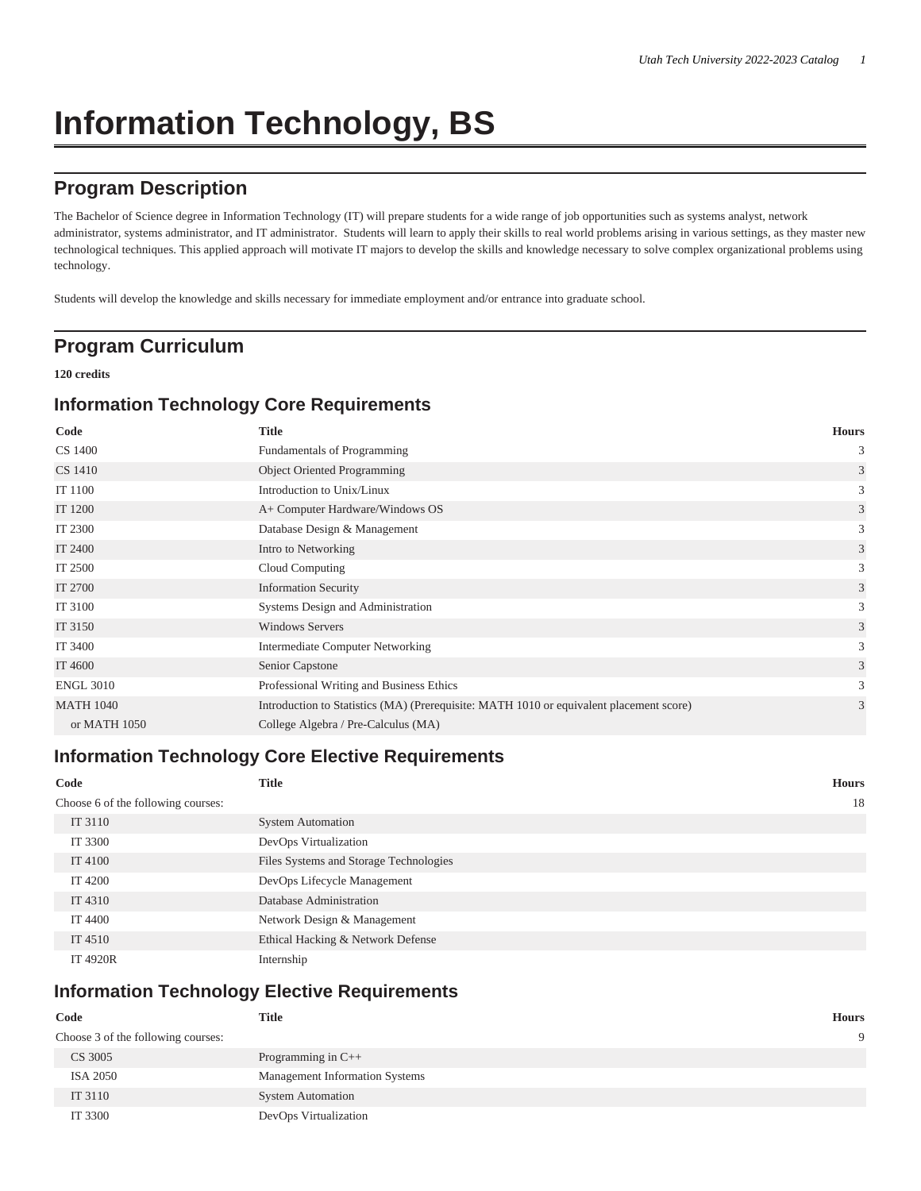# **Information Technology, BS**

# **Program Description**

The Bachelor of Science degree in Information Technology (IT) will prepare students for a wide range of job opportunities such as systems analyst, network administrator, systems administrator, and IT administrator. Students will learn to apply their skills to real world problems arising in various settings, as they master new technological techniques. This applied approach will motivate IT majors to develop the skills and knowledge necessary to solve complex organizational problems using technology.

Students will develop the knowledge and skills necessary for immediate employment and/or entrance into graduate school.

## **Program Curriculum**

#### **120 credits**

#### **Information Technology Core Requirements**

| Code             | <b>Title</b>                                                                            | <b>Hours</b>   |
|------------------|-----------------------------------------------------------------------------------------|----------------|
| CS 1400          | Fundamentals of Programming                                                             | 3              |
| CS 1410          | <b>Object Oriented Programming</b>                                                      | 3              |
| IT 1100          | Introduction to Unix/Linux                                                              | 3              |
| IT 1200          | A+ Computer Hardware/Windows OS                                                         | $\mathfrak{Z}$ |
| IT 2300          | Database Design & Management                                                            | 3              |
| IT 2400          | Intro to Networking                                                                     | 3              |
| IT 2500          | Cloud Computing                                                                         | 3              |
| IT 2700          | <b>Information Security</b>                                                             | 3              |
| IT 3100          | Systems Design and Administration                                                       | 3              |
| IT 3150          | <b>Windows Servers</b>                                                                  | 3              |
| IT 3400          | Intermediate Computer Networking                                                        | 3              |
| IT 4600          | Senior Capstone                                                                         | 3              |
| <b>ENGL 3010</b> | Professional Writing and Business Ethics                                                | 3              |
| <b>MATH 1040</b> | Introduction to Statistics (MA) (Prerequisite: MATH 1010 or equivalent placement score) | 3              |
| or MATH 1050     | College Algebra / Pre-Calculus (MA)                                                     |                |

#### **Information Technology Core Elective Requirements**

| Code                               | <b>Title</b>                           | <b>Hours</b> |
|------------------------------------|----------------------------------------|--------------|
| Choose 6 of the following courses: |                                        | 18           |
| IT 3110                            | <b>System Automation</b>               |              |
| IT 3300                            | DevOps Virtualization                  |              |
| IT 4100                            | Files Systems and Storage Technologies |              |
| IT 4200                            | DevOps Lifecycle Management            |              |
| IT 4310                            | Database Administration                |              |
| IT 4400                            | Network Design & Management            |              |
| IT 4510                            | Ethical Hacking & Network Defense      |              |
| <b>IT 4920R</b>                    | Internship                             |              |

### **Information Technology Elective Requirements**

| Code                               | <b>Title</b>                          | Hours |
|------------------------------------|---------------------------------------|-------|
| Choose 3 of the following courses: |                                       |       |
| CS 3005                            | Programming in $C++$                  |       |
| ISA 2050                           | <b>Management Information Systems</b> |       |
| IT 3110                            | <b>System Automation</b>              |       |
| IT 3300                            | DevOps Virtualization                 |       |